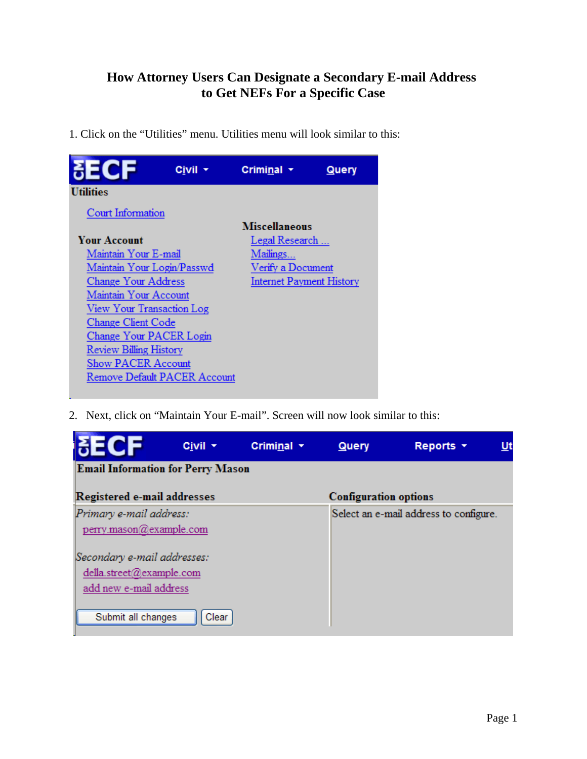## **How Attorney Users Can Designate a Secondary E-mail Address to Get NEFs For a Specific Case**

1. Click on the "Utilities" menu. Utilities menu will look similar to this:



2. Next, click on "Maintain Your E-mail". Screen will now look similar to this:

| МЕСЕ                                               | Civil + | Criminal $\sim$ | Query                                  | Reports <b>v</b> | Ut |  |
|----------------------------------------------------|---------|-----------------|----------------------------------------|------------------|----|--|
| <b>Email Information for Perry Mason</b>           |         |                 |                                        |                  |    |  |
| Registered e-mail addresses                        |         |                 | <b>Configuration options</b>           |                  |    |  |
| Primary e-mail address:<br>perry.mason@example.com |         |                 | Select an e-mail address to configure. |                  |    |  |
| Secondary e-mail addresses:                        |         |                 |                                        |                  |    |  |
| della.street@example.com                           |         |                 |                                        |                  |    |  |
| add new e-mail address<br>Submit all changes       | Clear   |                 |                                        |                  |    |  |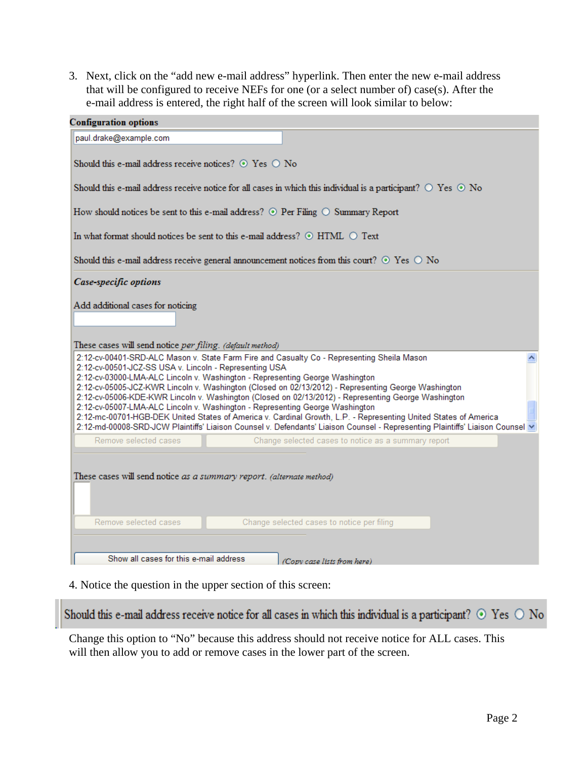3. Next, click on the "add new e-mail address" hyperlink. Then enter the new e-mail address that will be configured to receive NEFs for one (or a select number of) case(s). After the e-mail address is entered, the right half of the screen will look similar to below:

| <b>Configuration options</b>                                                                                                                             |                                                                                                                                                                                                                                                                                                                                                                                                                                                                                                                                                |  |  |  |  |  |  |  |
|----------------------------------------------------------------------------------------------------------------------------------------------------------|------------------------------------------------------------------------------------------------------------------------------------------------------------------------------------------------------------------------------------------------------------------------------------------------------------------------------------------------------------------------------------------------------------------------------------------------------------------------------------------------------------------------------------------------|--|--|--|--|--|--|--|
| paul.drake@example.com                                                                                                                                   |                                                                                                                                                                                                                                                                                                                                                                                                                                                                                                                                                |  |  |  |  |  |  |  |
| Should this e-mail address receive notices? $\odot$ Yes $\odot$ No                                                                                       |                                                                                                                                                                                                                                                                                                                                                                                                                                                                                                                                                |  |  |  |  |  |  |  |
| Should this e-mail address receive notice for all cases in which this individual is a participant? $\circ$ Yes $\circ$ No                                |                                                                                                                                                                                                                                                                                                                                                                                                                                                                                                                                                |  |  |  |  |  |  |  |
| How should notices be sent to this e-mail address? $\odot$ Per Filing $\odot$ Summary Report                                                             |                                                                                                                                                                                                                                                                                                                                                                                                                                                                                                                                                |  |  |  |  |  |  |  |
| In what format should notices be sent to this e-mail address? $\odot$ HTML $\odot$ Text                                                                  |                                                                                                                                                                                                                                                                                                                                                                                                                                                                                                                                                |  |  |  |  |  |  |  |
| Should this e-mail address receive general announcement notices from this court? $\odot$ Yes $\odot$ No                                                  |                                                                                                                                                                                                                                                                                                                                                                                                                                                                                                                                                |  |  |  |  |  |  |  |
| Case-specific options                                                                                                                                    |                                                                                                                                                                                                                                                                                                                                                                                                                                                                                                                                                |  |  |  |  |  |  |  |
| Add additional cases for noticing<br>These cases will send notice per filing. (default method)<br>2:12-cv-00501-JCZ-SS USA v. Lincoln - Representing USA | 2:12-cv-00401-SRD-ALC Mason v. State Farm Fire and Casualty Co - Representing Sheila Mason<br>2:12-cv-03000-LMA-ALC Lincoln v. Washington - Representing George Washington                                                                                                                                                                                                                                                                                                                                                                     |  |  |  |  |  |  |  |
|                                                                                                                                                          | 2:12-cv-05005-JCZ-KWR Lincoln v. Washington (Closed on 02/13/2012) - Representing George Washington<br>2:12-cv-05006-KDE-KWR Lincoln v. Washington (Closed on 02/13/2012) - Representing George Washington<br>2:12-cv-05007-LMA-ALC Lincoln v. Washington - Representing George Washington<br>2:12-mc-00701-HGB-DEK United States of America v. Cardinal Growth, L.P. - Representing United States of America<br>2:12-md-00008-SRD-JCW Plaintiffs' Liaison Counsel v. Defendants' Liaison Counsel - Representing Plaintiffs' Liaison Counsel V |  |  |  |  |  |  |  |
| Remove selected cases                                                                                                                                    | Change selected cases to notice as a summary report                                                                                                                                                                                                                                                                                                                                                                                                                                                                                            |  |  |  |  |  |  |  |
| These cases will send notice as a summary report. (alternate method)<br>Remove selected cases                                                            | Change selected cases to notice per filing                                                                                                                                                                                                                                                                                                                                                                                                                                                                                                     |  |  |  |  |  |  |  |
| Show all cases for this e-mail address                                                                                                                   | (Copy case lists from here)                                                                                                                                                                                                                                                                                                                                                                                                                                                                                                                    |  |  |  |  |  |  |  |

4. Notice the question in the upper section of this screen:

Should this e-mail address receive notice for all cases in which this individual is a participant?  $\odot$  Yes  $\odot$  No

Change this option to "No" because this address should not receive notice for ALL cases. This will then allow you to add or remove cases in the lower part of the screen.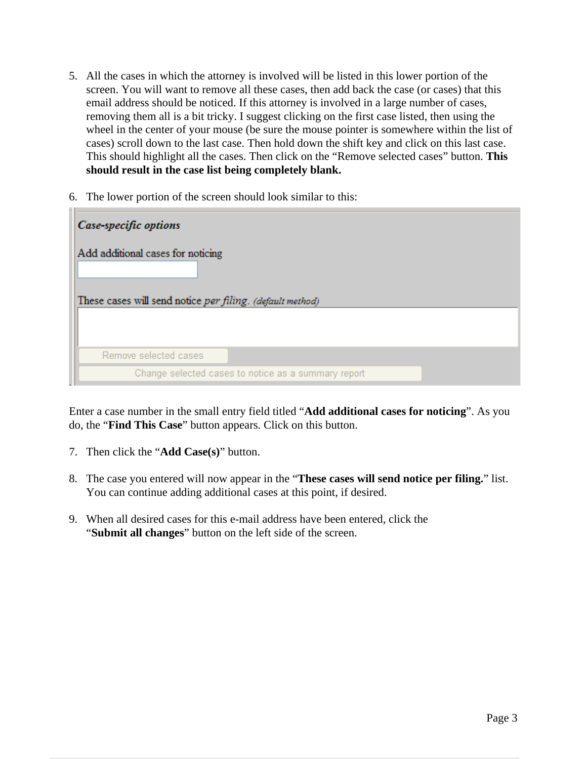- 5. All the cases in which the attorney is involved will be listed in this lower portion of the screen. You will want to remove all these cases, then add back the case (or cases) that this email address should be noticed. If this attorney is involved in a large number of cases, removing them all is a bit tricky. I suggest clicking on the first case listed, then using the wheel in the center of your mouse (be sure the mouse pointer is somewhere within the list of cases) scroll down to the last case. Then hold down the shift key and click on this last case. This should highlight all the cases. Then click on the "Remove selected cases" button. **This should result in the case list being completely blank.**
- 6. The lower portion of the screen should look similar to this:

| Case-specific options                                     |                                                     |  |  |  |  |
|-----------------------------------------------------------|-----------------------------------------------------|--|--|--|--|
| Add additional cases for noticing                         |                                                     |  |  |  |  |
| These cases will send notice per filing. (default method) |                                                     |  |  |  |  |
| Remove selected cases                                     |                                                     |  |  |  |  |
|                                                           | Change selected cases to notice as a summary report |  |  |  |  |

Enter a case number in the small entry field titled "**Add additional cases for noticing**". As you do, the "**Find This Case**" button appears. Click on this button.

- 7. Then click the "**Add Case(s)**" button.
- 8. The case you entered will now appear in the "**These cases will send notice per filing.**" list. You can continue adding additional cases at this point, if desired.
- 9. When all desired cases for this e-mail address have been entered, click the "**Submit all changes**" button on the left side of the screen.